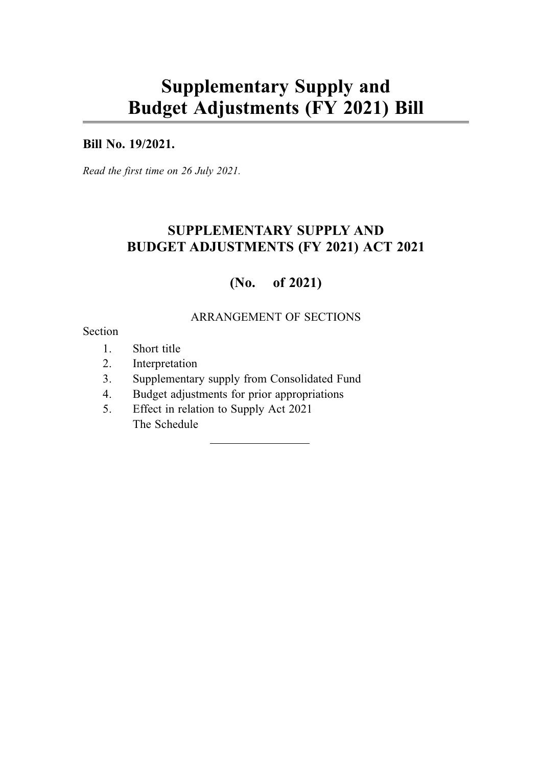# Supplementary Supply and Budget Adjustments (FY 2021) Bill

### Bill No. 19/2021.

Read the first time on 26 July 2021.

# SUPPLEMENTARY SUPPLY AND BUDGET ADJUSTMENTS (FY 2021) ACT 2021

# (No. of 2021)

### ARRANGEMENT OF SECTIONS

#### Section

- 1. Short title
- 2. Interpretation
- 3. Supplementary supply from Consolidated Fund
- 4. Budget adjustments for prior appropriations
- 5. Effect in relation to Supply Act 2021 The Schedule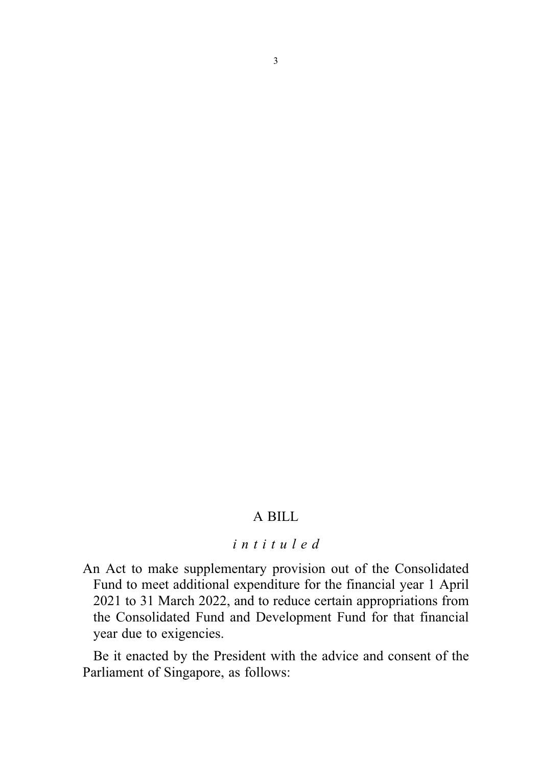### A BILL

# intituled

An Act to make supplementary provision out of the Consolidated Fund to meet additional expenditure for the financial year 1 April 2021 to 31 March 2022, and to reduce certain appropriations from the Consolidated Fund and Development Fund for that financial year due to exigencies.

Be it enacted by the President with the advice and consent of the Parliament of Singapore, as follows: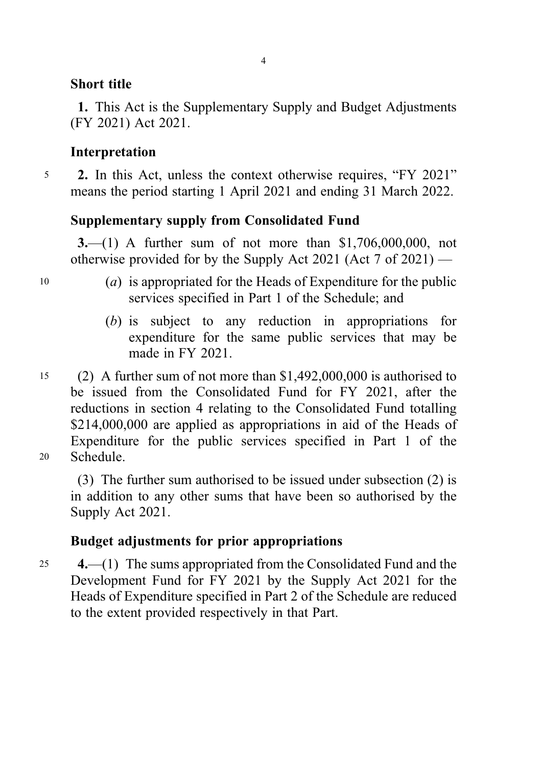# Short title

1. This Act is the Supplementary Supply and Budget Adjustments (FY 2021) Act 2021.

# Interpretation

<sup>5</sup> 2. In this Act, unless the context otherwise requires, "FY 2021" means the period starting 1 April 2021 and ending 31 March 2022.

# Supplementary supply from Consolidated Fund

3.—(1) A further sum of not more than \$1,706,000,000, not otherwise provided for by the Supply Act 2021 (Act 7 of 2021) —

- $10$  (a) is appropriated for the Heads of Expenditure for the public services specified in Part 1 of the Schedule; and
	- (b) is subject to any reduction in appropriations for expenditure for the same public services that may be made in FY 2021.
- <sup>15</sup> (2) A further sum of not more than \$1,492,000,000 is authorised to be issued from the Consolidated Fund for FY 2021, after the reductions in section 4 relating to the Consolidated Fund totalling \$214,000,000 are applied as appropriations in aid of the Heads of Expenditure for the public services specified in Part 1 of the <sup>20</sup> Schedule.

(3) The further sum authorised to be issued under subsection (2) is in addition to any other sums that have been so authorised by the Supply Act 2021.

# Budget adjustments for prior appropriations

<sup>25</sup> 4.—(1) The sums appropriated from the Consolidated Fund and the Development Fund for FY 2021 by the Supply Act 2021 for the Heads of Expenditure specified in Part 2 of the Schedule are reduced to the extent provided respectively in that Part.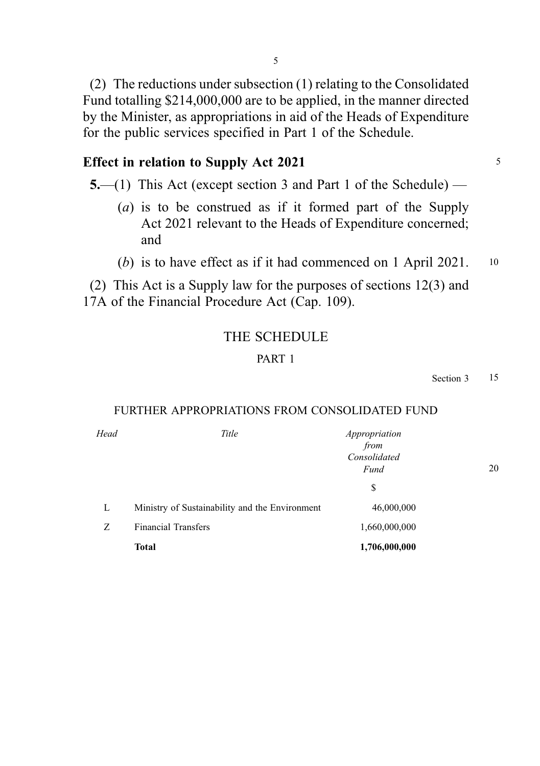(2) The reductions under subsection (1) relating to the Consolidated Fund totalling \$214,000,000 are to be applied, in the manner directed by the Minister, as appropriations in aid of the Heads of Expenditure for the public services specified in Part 1 of the Schedule.

# Effect in relation to Supply Act 2021

5.—(1) This Act (except section 3 and Part 1 of the Schedule) —

- (a) is to be construed as if it formed part of the Supply Act 2021 relevant to the Heads of Expenditure concerned; and
- (b) is to have effect as if it had commenced on 1 April 2021. 10

(2) This Act is a Supply law for the purposes of sections 12(3) and 17A of the Financial Procedure Act (Cap. 109).

## THE SCHEDULE

#### PART 1

Section 3 15

#### FURTHER APPROPRIATIONS FROM CONSOLIDATED FUND

| Head | Title                                          | Appropriation<br>from<br>Consolidated<br>Fund | 20 |  |
|------|------------------------------------------------|-----------------------------------------------|----|--|
| L    | Ministry of Sustainability and the Environment | \$<br>46,000,000                              |    |  |
| Z    | <b>Financial Transfers</b>                     | 1,660,000,000                                 |    |  |
|      | <b>Total</b>                                   | 1,706,000,000                                 |    |  |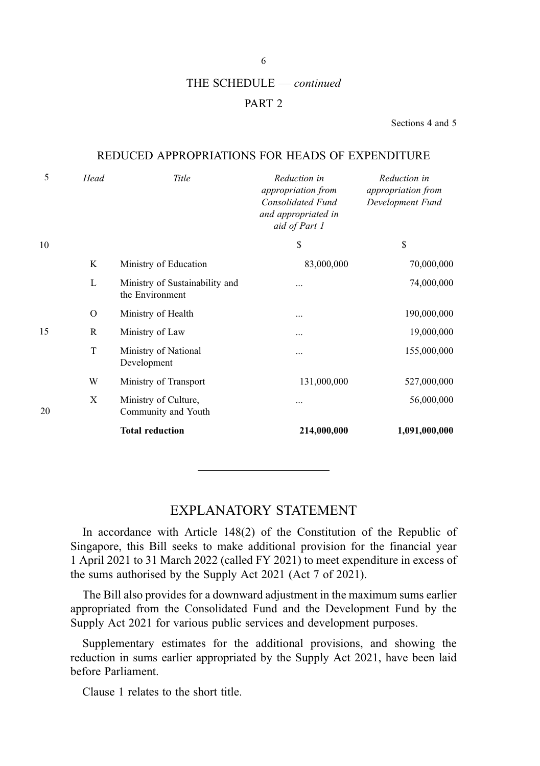6

#### THE SCHEDULE — continued

#### PART 2

Sections 4 and 5

#### REDUCED APPROPRIATIONS FOR HEADS OF EXPENDITURE

| 5  | Head          | Title                                             | Reduction in<br>appropriation from<br>Consolidated Fund<br>and appropriated in<br>aid of Part 1 | Reduction in<br>appropriation from<br>Development Fund |
|----|---------------|---------------------------------------------------|-------------------------------------------------------------------------------------------------|--------------------------------------------------------|
| 10 |               |                                                   | \$                                                                                              | \$                                                     |
|    | K             | Ministry of Education                             | 83,000,000                                                                                      | 70,000,000                                             |
|    | L             | Ministry of Sustainability and<br>the Environment |                                                                                                 | 74,000,000                                             |
|    | $\mathcal{O}$ | Ministry of Health                                | $\cdots$                                                                                        | 190,000,000                                            |
| 15 | R             | Ministry of Law                                   |                                                                                                 | 19,000,000                                             |
|    | T             | Ministry of National<br>Development               | $\cdots$                                                                                        | 155,000,000                                            |
|    | W             | Ministry of Transport                             | 131,000,000                                                                                     | 527,000,000                                            |
| 20 | X             | Ministry of Culture,<br>Community and Youth       |                                                                                                 | 56,000,000                                             |
|    |               | <b>Total reduction</b>                            | 214,000,000                                                                                     | 1,091,000,000                                          |

#### EXPLANATORY STATEMENT

In accordance with Article 148(2) of the Constitution of the Republic of Singapore, this Bill seeks to make additional provision for the financial year 1 April 2021 to 31 March 2022 (called FY 2021) to meet expenditure in excess of the sums authorised by the Supply Act 2021 (Act 7 of 2021).

The Bill also provides for a downward adjustment in the maximum sums earlier appropriated from the Consolidated Fund and the Development Fund by the Supply Act 2021 for various public services and development purposes.

Supplementary estimates for the additional provisions, and showing the reduction in sums earlier appropriated by the Supply Act 2021, have been laid before Parliament.

Clause 1 relates to the short title.